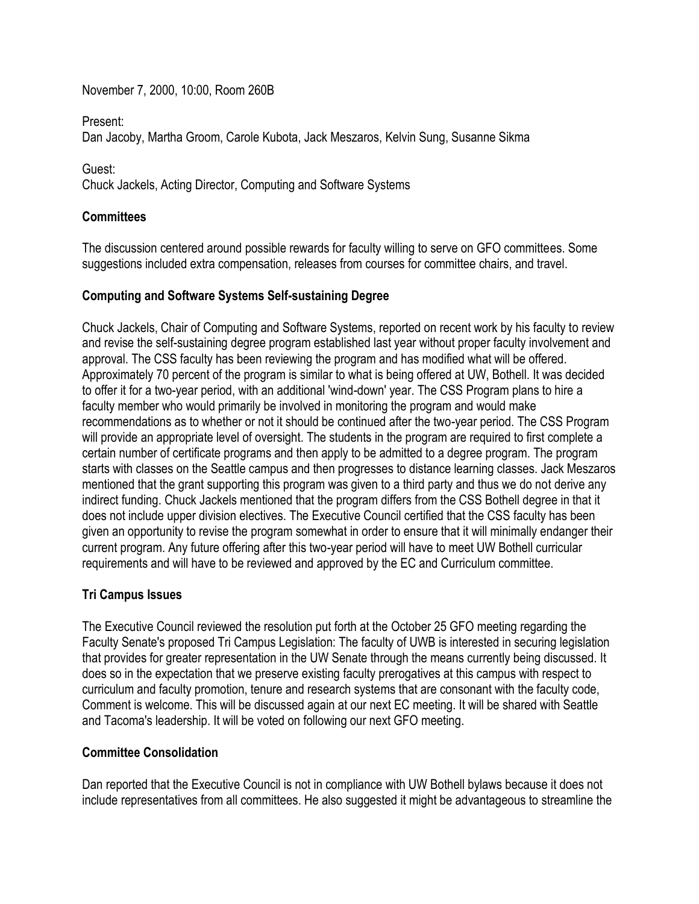November 7, 2000, 10:00, Room 260B

Present:

Dan Jacoby, Martha Groom, Carole Kubota, Jack Meszaros, Kelvin Sung, Susanne Sikma

Guest:

Chuck Jackels, Acting Director, Computing and Software Systems

## **Committees**

The discussion centered around possible rewards for faculty willing to serve on GFO committees. Some suggestions included extra compensation, releases from courses for committee chairs, and travel.

## **Computing and Software Systems Self-sustaining Degree**

Chuck Jackels, Chair of Computing and Software Systems, reported on recent work by his faculty to review and revise the self-sustaining degree program established last year without proper faculty involvement and approval. The CSS faculty has been reviewing the program and has modified what will be offered. Approximately 70 percent of the program is similar to what is being offered at UW, Bothell. It was decided to offer it for a two-year period, with an additional 'wind-down' year. The CSS Program plans to hire a faculty member who would primarily be involved in monitoring the program and would make recommendations as to whether or not it should be continued after the two-year period. The CSS Program will provide an appropriate level of oversight. The students in the program are required to first complete a certain number of certificate programs and then apply to be admitted to a degree program. The program starts with classes on the Seattle campus and then progresses to distance learning classes. Jack Meszaros mentioned that the grant supporting this program was given to a third party and thus we do not derive any indirect funding. Chuck Jackels mentioned that the program differs from the CSS Bothell degree in that it does not include upper division electives. The Executive Council certified that the CSS faculty has been given an opportunity to revise the program somewhat in order to ensure that it will minimally endanger their current program. Any future offering after this two-year period will have to meet UW Bothell curricular requirements and will have to be reviewed and approved by the EC and Curriculum committee.

## **Tri Campus Issues**

The Executive Council reviewed the resolution put forth at the October 25 GFO meeting regarding the Faculty Senate's proposed Tri Campus Legislation: The faculty of UWB is interested in securing legislation that provides for greater representation in the UW Senate through the means currently being discussed. It does so in the expectation that we preserve existing faculty prerogatives at this campus with respect to curriculum and faculty promotion, tenure and research systems that are consonant with the faculty code, Comment is welcome. This will be discussed again at our next EC meeting. It will be shared with Seattle and Tacoma's leadership. It will be voted on following our next GFO meeting.

## **Committee Consolidation**

Dan reported that the Executive Council is not in compliance with UW Bothell bylaws because it does not include representatives from all committees. He also suggested it might be advantageous to streamline the